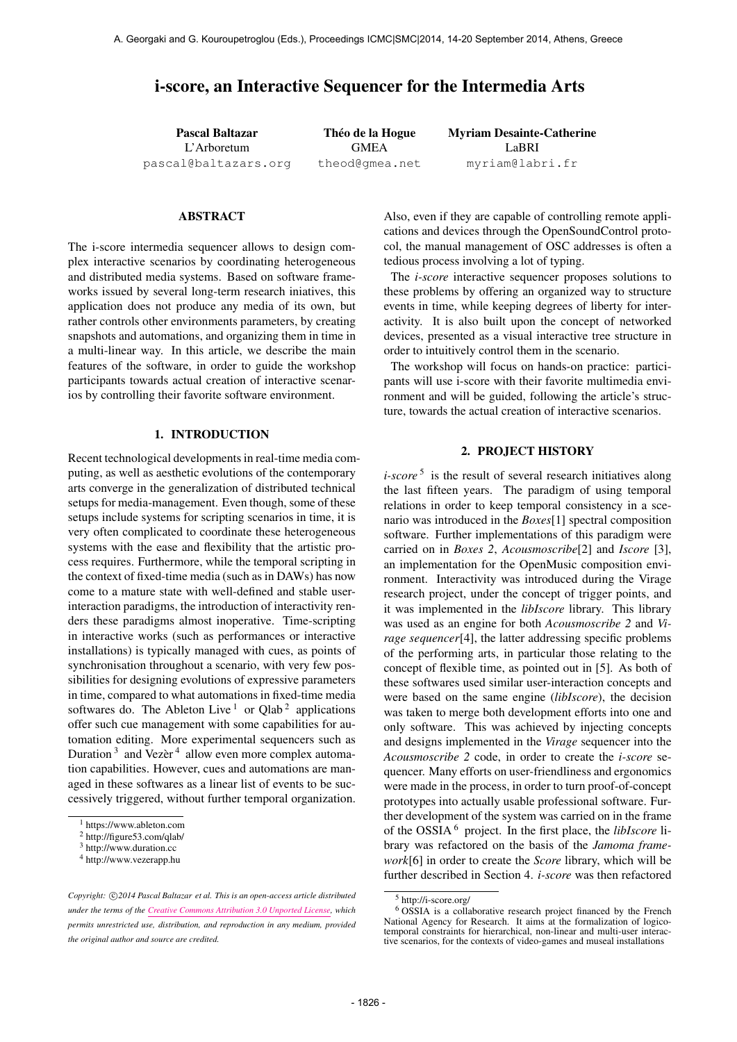# i-score, an Interactive Sequencer for the Intermedia Arts

Pascal Baltazar L'Arboretum [pascal@baltazars.org](mailto:pascal@baltazars.org)

Théo de la Hogue GMEA [theod@gmea.net](mailto:theod@gmea.net) Myriam Desainte-Catherine LaBRI [myriam@labri.fr](mailto:myriam@labri.fr)

### ABSTRACT

The i-score intermedia sequencer allows to design complex interactive scenarios by coordinating heterogeneous and distributed media systems. Based on software frameworks issued by several long-term research iniatives, this application does not produce any media of its own, but rather controls other environments parameters, by creating snapshots and automations, and organizing them in time in a multi-linear way. In this article, we describe the main features of the software, in order to guide the workshop participants towards actual creation of interactive scenarios by controlling their favorite software environment.

#### 1. INTRODUCTION

Recent technological developments in real-time media computing, as well as aesthetic evolutions of the contemporary arts converge in the generalization of distributed technical setups for media-management. Even though, some of these setups include systems for scripting scenarios in time, it is very often complicated to coordinate these heterogeneous systems with the ease and flexibility that the artistic process requires. Furthermore, while the temporal scripting in the context of fixed-time media (such as in DAWs) has now come to a mature state with well-defined and stable userinteraction paradigms, the introduction of interactivity renders these paradigms almost inoperative. Time-scripting in interactive works (such as performances or interactive installations) is typically managed with cues, as points of synchronisation throughout a scenario, with very few possibilities for designing evolutions of expressive parameters in time, compared to what automations in fixed-time media softwares do. The Ableton Live  $1$  or Qlab  $2$  applications offer such cue management with some capabilities for automation editing. More experimental sequencers such as Duration<sup>3</sup> and Vezèr<sup>4</sup> allow even more complex automation capabilities. However, cues and automations are managed in these softwares as a linear list of events to be successively triggered, without further temporal organization.

Also, even if they are capable of controlling remote applications and devices through the OpenSoundControl protocol, the manual management of OSC addresses is often a tedious process involving a lot of typing.

The *i-score* interactive sequencer proposes solutions to these problems by offering an organized way to structure events in time, while keeping degrees of liberty for interactivity. It is also built upon the concept of networked devices, presented as a visual interactive tree structure in order to intuitively control them in the scenario.

The workshop will focus on hands-on practice: participants will use i-score with their favorite multimedia environment and will be guided, following the article's structure, towards the actual creation of interactive scenarios.

#### 2. PROJECT HISTORY

*i-score*<sup>5</sup> is the result of several research initiatives along the last fifteen years. The paradigm of using temporal relations in order to keep temporal consistency in a scenario was introduced in the *Boxes*[1] spectral composition software. Further implementations of this paradigm were carried on in *Boxes 2*, *Acousmoscribe*[2] and *Iscore* [3], an implementation for the OpenMusic composition environment. Interactivity was introduced during the Virage research project, under the concept of trigger points, and it was implemented in the *libIscore* library. This library was used as an engine for both *Acousmoscribe 2* and *Virage sequencer*[4], the latter addressing specific problems of the performing arts, in particular those relating to the concept of flexible time, as pointed out in [5]. As both of these softwares used similar user-interaction concepts and were based on the same engine (*libIscore*), the decision was taken to merge both development efforts into one and only software. This was achieved by injecting concepts and designs implemented in the *Virage* sequencer into the *Acousmoscribe 2* code, in order to create the *i-score* sequencer. Many efforts on user-friendliness and ergonomics were made in the process, in order to turn proof-of-concept prototypes into actually usable professional software. Further development of the system was carried on in the frame of the OSSIA 6 project. In the first place, the *libIscore* library was refactored on the basis of the *Jamoma framework*[6] in order to create the *Score* library, which will be further described in Section 4. *i-score* was then refactored

<sup>1</sup> [https://www.ableton.com](https://www.ableton.com )

<sup>2</sup> <http://figure53.com/qlab/>

<sup>3</sup> [http://www.duration.cc](http://www.duration.cc )

<sup>4</sup> <http://www.vezerapp.hu>

Copyright:  $\bigcirc$ 2014 Pascal Baltazar et al. This is an open-access article distributed *under the terms of the [Creative Commons Attribution 3.0 Unported License,](http://creativecommons.org/licenses/by/3.0/) which permits unrestricted use, distribution, and reproduction in any medium, provided the original author and source are credited.*

<sup>5</sup> <http://i-score.org/>

<sup>6</sup> OSSIA is a collaborative research project financed by the French National Agency for Research. It aims at the formalization of logicotemporal constraints for hierarchical, non-linear and multi-user interactive scenarios, for the contexts of video-games and museal installations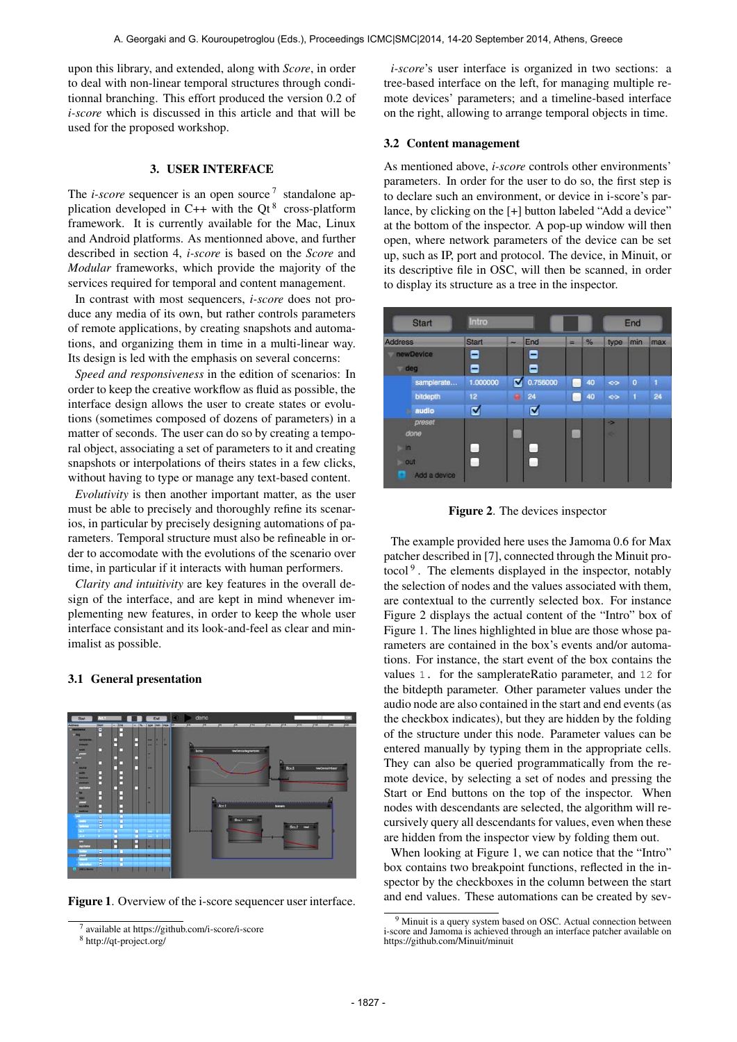upon this library, and extended, along with *Score*, in order to deal with non-linear temporal structures through conditionnal branching. This effort produced the version 0.2 of *i-score* which is discussed in this article and that will be used for the proposed workshop.

### 3. USER INTERFACE

The *i-score* sequencer is an open source<sup>7</sup> standalone application developed in C++ with the Qt<sup>8</sup> cross-platform framework. It is currently available for the Mac, Linux and Android platforms. As mentionned above, and further described in section 4, *i-score* is based on the *Score* and *Modular* frameworks, which provide the majority of the services required for temporal and content management.

In contrast with most sequencers, *i-score* does not produce any media of its own, but rather controls parameters of remote applications, by creating snapshots and automations, and organizing them in time in a multi-linear way. Its design is led with the emphasis on several concerns:

*Speed and responsiveness* in the edition of scenarios: In order to keep the creative workflow as fluid as possible, the interface design allows the user to create states or evolutions (sometimes composed of dozens of parameters) in a matter of seconds. The user can do so by creating a temporal object, associating a set of parameters to it and creating snapshots or interpolations of theirs states in a few clicks, without having to type or manage any text-based content.

*Evolutivity* is then another important matter, as the user must be able to precisely and thoroughly refine its scenarios, in particular by precisely designing automations of parameters. Temporal structure must also be refineable in order to accomodate with the evolutions of the scenario over time, in particular if it interacts with human performers.

*Clarity and intuitivity* are key features in the overall design of the interface, and are kept in mind whenever implementing new features, in order to keep the whole user interface consistant and its look-and-feel as clear and minimalist as possible.

#### 3.1 General presentation



Figure 1. Overview of the i-score sequencer user interface.

*i-score*'s user interface is organized in two sections: a tree-based interface on the left, for managing multiple remote devices' parameters; and a timeline-based interface on the right, allowing to arrange temporal objects in time.

#### 3.2 Content management

As mentioned above, *i-score* controls other environments' parameters. In order for the user to do so, the first step is to declare such an environment, or device in i-score's parlance, by clicking on the [+] button labeled "Add a device" at the bottom of the inspector. A pop-up window will then open, where network parameters of the device can be set up, such as IP, port and protocol. The device, in Minuit, or its descriptive file in OSC, will then be scanned, in order to display its structure as a tree in the inspector.



Figure 2. The devices inspector

The example provided here uses the Jamoma 0.6 for Max patcher described in [7], connected through the Minuit protocol<sup>9</sup>. The elements displayed in the inspector, notably the selection of nodes and the values associated with them, are contextual to the currently selected box. For instance Figure 2 displays the actual content of the "Intro" box of Figure 1. The lines highlighted in blue are those whose parameters are contained in the box's events and/or automations. For instance, the start event of the box contains the values 1. for the samplerateRatio parameter, and 12 for the bitdepth parameter. Other parameter values under the audio node are also contained in the start and end events (as the checkbox indicates), but they are hidden by the folding of the structure under this node. Parameter values can be entered manually by typing them in the appropriate cells. They can also be queried programmatically from the remote device, by selecting a set of nodes and pressing the Start or End buttons on the top of the inspector. When nodes with descendants are selected, the algorithm will recursively query all descendants for values, even when these are hidden from the inspector view by folding them out.

When looking at Figure 1, we can notice that the "Intro" box contains two breakpoint functions, reflected in the inspector by the checkboxes in the column between the start and end values. These automations can be created by sev-

<sup>7</sup> available at<https://github.com/i-score/i-score>

<sup>8</sup> <http://qt-project.org/>

<sup>9</sup> Minuit is a query system based on OSC. Actual connection between i-score and Jamoma is achieved through an interface patcher available on <https://github.com/Minuit/minuit>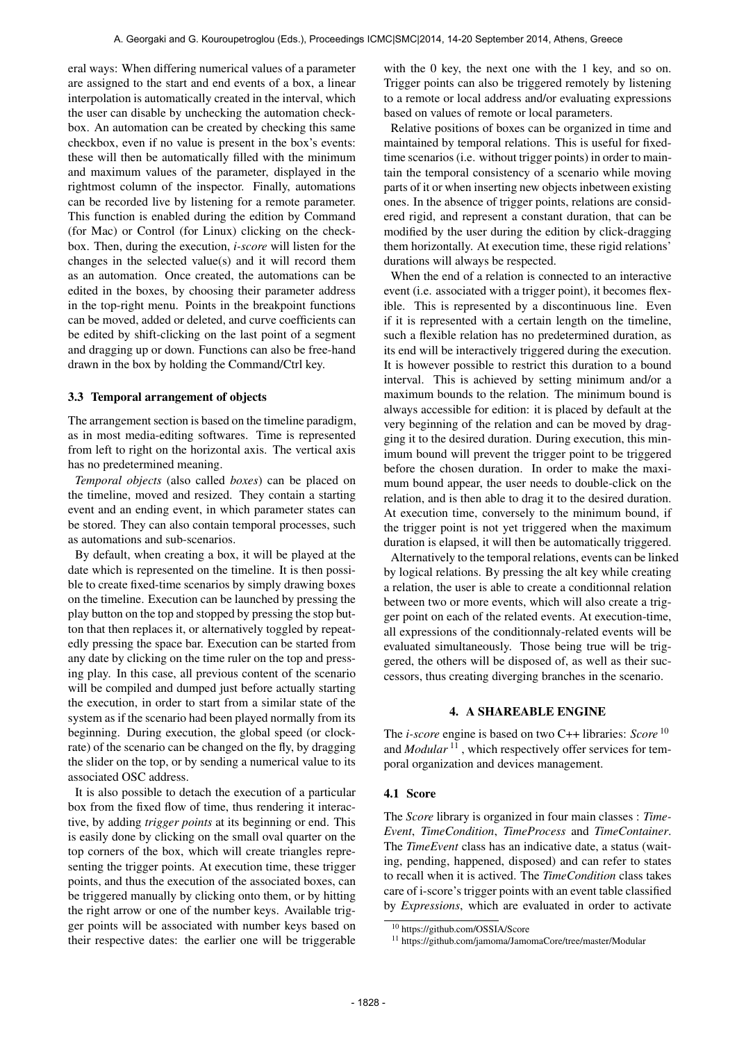eral ways: When differing numerical values of a parameter are assigned to the start and end events of a box, a linear interpolation is automatically created in the interval, which the user can disable by unchecking the automation checkbox. An automation can be created by checking this same checkbox, even if no value is present in the box's events: these will then be automatically filled with the minimum and maximum values of the parameter, displayed in the rightmost column of the inspector. Finally, automations can be recorded live by listening for a remote parameter. This function is enabled during the edition by Command (for Mac) or Control (for Linux) clicking on the checkbox. Then, during the execution, *i-score* will listen for the changes in the selected value(s) and it will record them as an automation. Once created, the automations can be edited in the boxes, by choosing their parameter address in the top-right menu. Points in the breakpoint functions can be moved, added or deleted, and curve coefficients can be edited by shift-clicking on the last point of a segment and dragging up or down. Functions can also be free-hand drawn in the box by holding the Command/Ctrl key.

#### 3.3 Temporal arrangement of objects

The arrangement section is based on the timeline paradigm, as in most media-editing softwares. Time is represented from left to right on the horizontal axis. The vertical axis has no predetermined meaning.

*Temporal objects* (also called *boxes*) can be placed on the timeline, moved and resized. They contain a starting event and an ending event, in which parameter states can be stored. They can also contain temporal processes, such as automations and sub-scenarios.

By default, when creating a box, it will be played at the date which is represented on the timeline. It is then possible to create fixed-time scenarios by simply drawing boxes on the timeline. Execution can be launched by pressing the play button on the top and stopped by pressing the stop button that then replaces it, or alternatively toggled by repeatedly pressing the space bar. Execution can be started from any date by clicking on the time ruler on the top and pressing play. In this case, all previous content of the scenario will be compiled and dumped just before actually starting the execution, in order to start from a similar state of the system as if the scenario had been played normally from its beginning. During execution, the global speed (or clockrate) of the scenario can be changed on the fly, by dragging the slider on the top, or by sending a numerical value to its associated OSC address.

It is also possible to detach the execution of a particular box from the fixed flow of time, thus rendering it interactive, by adding *trigger points* at its beginning or end. This is easily done by clicking on the small oval quarter on the top corners of the box, which will create triangles representing the trigger points. At execution time, these trigger points, and thus the execution of the associated boxes, can be triggered manually by clicking onto them, or by hitting the right arrow or one of the number keys. Available trigger points will be associated with number keys based on their respective dates: the earlier one will be triggerable with the 0 key, the next one with the 1 key, and so on. Trigger points can also be triggered remotely by listening to a remote or local address and/or evaluating expressions based on values of remote or local parameters.

Relative positions of boxes can be organized in time and maintained by temporal relations. This is useful for fixedtime scenarios (i.e. without trigger points) in order to maintain the temporal consistency of a scenario while moving parts of it or when inserting new objects inbetween existing ones. In the absence of trigger points, relations are considered rigid, and represent a constant duration, that can be modified by the user during the edition by click-dragging them horizontally. At execution time, these rigid relations' durations will always be respected.

When the end of a relation is connected to an interactive event (i.e. associated with a trigger point), it becomes flexible. This is represented by a discontinuous line. Even if it is represented with a certain length on the timeline, such a flexible relation has no predetermined duration, as its end will be interactively triggered during the execution. It is however possible to restrict this duration to a bound interval. This is achieved by setting minimum and/or a maximum bounds to the relation. The minimum bound is always accessible for edition: it is placed by default at the very beginning of the relation and can be moved by dragging it to the desired duration. During execution, this minimum bound will prevent the trigger point to be triggered before the chosen duration. In order to make the maximum bound appear, the user needs to double-click on the relation, and is then able to drag it to the desired duration. At execution time, conversely to the minimum bound, if the trigger point is not yet triggered when the maximum duration is elapsed, it will then be automatically triggered.

Alternatively to the temporal relations, events can be linked by logical relations. By pressing the alt key while creating a relation, the user is able to create a conditionnal relation between two or more events, which will also create a trigger point on each of the related events. At execution-time, all expressions of the conditionnaly-related events will be evaluated simultaneously. Those being true will be triggered, the others will be disposed of, as well as their successors, thus creating diverging branches in the scenario.

### 4. A SHAREABLE ENGINE

The *i-score* engine is based on two C++ libraries: *Score* 10 and *Modular*<sup>11</sup>, which respectively offer services for temporal organization and devices management.

#### 4.1 Score

The *Score* library is organized in four main classes : *Time-Event*, *TimeCondition*, *TimeProcess* and *TimeContainer*. The *TimeEvent* class has an indicative date, a status (waiting, pending, happened, disposed) and can refer to states to recall when it is actived. The *TimeCondition* class takes care of i-score's trigger points with an event table classified by *Expressions*, which are evaluated in order to activate

<sup>10</sup> https://github.com/OSSIA/Score

<sup>11</sup> https://github.com/jamoma/JamomaCore/tree/master/Modular